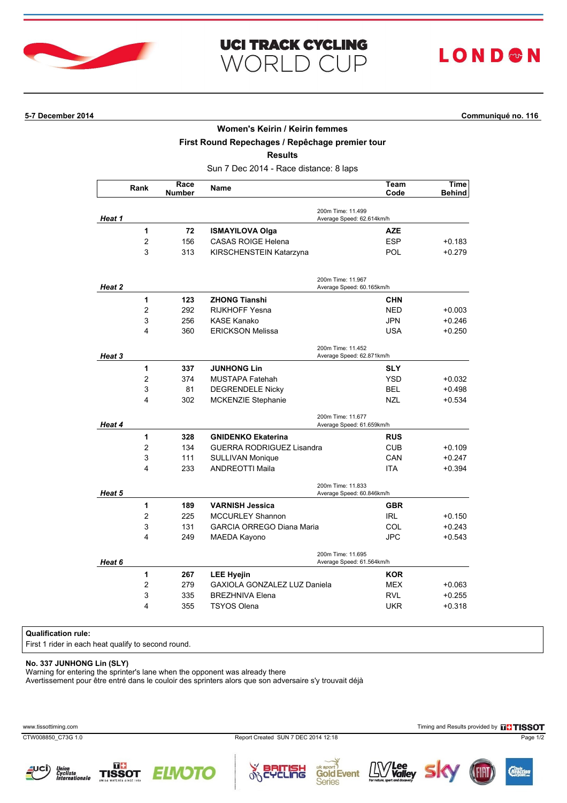

| <b>UCI TRACK CYCLING</b> |  |  |
|--------------------------|--|--|
| WORLD CUP                |  |  |

# LOND®N

**5-7 December 2014 Communiqué no. 116**

#### **Women's Keirin / Keirin femmes**

**First Round Repechages / Repêchage premier tour**

**Results**

Sun 7 Dec 2014 - Race distance: 8 laps

|                                                          | Rank           | Race<br><b>Number</b> | <b>Name</b>                                    | Team<br>Code                                   | Time<br><b>Behind</b> |
|----------------------------------------------------------|----------------|-----------------------|------------------------------------------------|------------------------------------------------|-----------------------|
| Heat 1                                                   |                |                       |                                                | 200m Time: 11.499<br>Average Speed: 62.614km/h |                       |
|                                                          | 1              | 72                    | <b>ISMAYILOVA Olga</b>                         | <b>AZE</b>                                     |                       |
|                                                          | 2              | 156                   | <b>CASAS ROIGE Helena</b>                      | <b>ESP</b>                                     | $+0.183$              |
|                                                          | 3              | 313                   | KIRSCHENSTEIN Katarzyna                        | <b>POL</b>                                     | $+0.279$              |
|                                                          |                |                       |                                                | 200m Time: 11.967<br>Average Speed: 60.165km/h |                       |
| Heat 2                                                   | 1              | 123                   | <b>ZHONG Tianshi</b>                           |                                                |                       |
|                                                          | $\overline{2}$ |                       |                                                | <b>CHN</b>                                     |                       |
|                                                          |                | 292                   | <b>RIJKHOFF Yesna</b>                          | <b>NED</b>                                     | $+0.003$              |
|                                                          | 3<br>4         | 256<br>360            | <b>KASE Kanako</b><br><b>ERICKSON Melissa</b>  | <b>JPN</b><br><b>USA</b>                       | +0.246<br>$+0.250$    |
| Heat 3                                                   |                |                       | 200m Time: 11.452<br>Average Speed: 62.871km/h |                                                |                       |
|                                                          | 1              | 337                   | <b>JUNHONG Lin</b>                             | <b>SLY</b>                                     |                       |
|                                                          | $\overline{c}$ | 374                   | MUSTAPA Fatehah                                | <b>YSD</b>                                     | +0.032                |
|                                                          | 3              | 81                    | <b>DEGRENDELE Nicky</b>                        | <b>BEL</b>                                     | $+0.498$              |
|                                                          | 4              | 302                   | <b>MCKENZIE Stephanie</b>                      | <b>NZL</b>                                     | $+0.534$              |
| 200m Time: 11.677<br>Heat 4<br>Average Speed: 61.659km/h |                |                       |                                                |                                                |                       |
|                                                          | 1              | 328                   | <b>GNIDENKO Ekaterina</b>                      | <b>RUS</b>                                     |                       |
|                                                          | 2              | 134                   | <b>GUERRA RODRIGUEZ Lisandra</b>               | <b>CUB</b>                                     | $+0.109$              |
|                                                          | 3              | 111                   | <b>SULLIVAN Monique</b>                        | CAN                                            | $+0.247$              |
|                                                          | 4              | 233                   | <b>ANDREOTTI Maila</b>                         | <b>ITA</b>                                     | $+0.394$              |
| Heat 5                                                   |                |                       |                                                | 200m Time: 11.833<br>Average Speed: 60.846km/h |                       |
|                                                          | 1              | 189                   | <b>VARNISH Jessica</b>                         | <b>GBR</b>                                     |                       |
|                                                          | 2              | 225                   | <b>MCCURLEY Shannon</b>                        | <b>IRL</b>                                     | $+0.150$              |
|                                                          | 3              | 131                   | <b>GARCIA ORREGO Diana Maria</b>               | COL                                            | +0.243                |
|                                                          | 4              | 249                   | MAEDA Kayono                                   | <b>JPC</b>                                     | $+0.543$              |
| Heat 6                                                   |                |                       |                                                | 200m Time: 11.695<br>Average Speed: 61.564km/h |                       |
|                                                          | 1              | 267                   | <b>LEE Hyejin</b>                              | <b>KOR</b>                                     |                       |
|                                                          | $\overline{c}$ | 279                   | GAXIOLA GONZALEZ LUZ Daniela                   | <b>MEX</b>                                     | +0.063                |
|                                                          | 3              | 335                   | <b>BREZHNIVA Elena</b>                         | <b>RVL</b>                                     | +0.255                |
|                                                          | 4              | 355                   | <b>TSYOS Olena</b>                             | <b>UKR</b>                                     | $+0.318$              |

### **Qualification rule:**

First 1 rider in each heat qualify to second round.

### **No. 337 JUNHONG Lin (SLY)**

Warning for entering the sprinter's lane when the opponent was already there

Avertissement pour être entré dans le couloir des sprinters alors que son adversaire s'y trouvait déjà

CTW008850\_C73G 1.0 Report Created SUN 7 DEC 2014 12:18 Page 1/2

www.tissottiming.com **Timing and Results provided by FITISSOT**